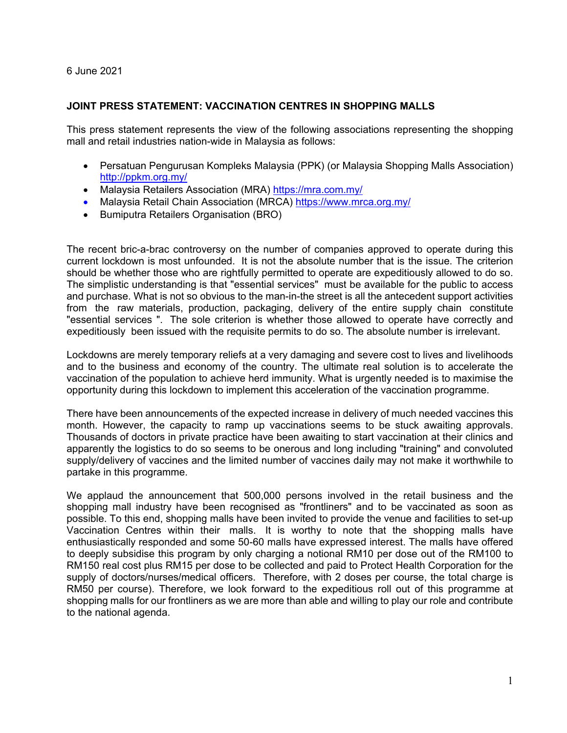6 June 2021

## **JOINT PRESS STATEMENT: VACCINATION CENTRES IN SHOPPING MALLS**

This press statement represents the view of the following associations representing the shopping mall and retail industries nation-wide in Malaysia as follows:

- Persatuan Pengurusan Kompleks Malaysia (PPK) (or Malaysia Shopping Malls Association) http://ppkm.org.my/
- Malaysia Retailers Association (MRA) https://mra.com.my/
- Malaysia Retail Chain Association (MRCA) https://www.mrca.org.my/
- **•** Bumiputra Retailers Organisation (BRO)

The recent bric-a-brac controversy on the number of companies approved to operate during this current lockdown is most unfounded. It is not the absolute number that is the issue. The criterion should be whether those who are rightfully permitted to operate are expeditiously allowed to do so. The simplistic understanding is that "essential services" must be available for the public to access and purchase. What is not so obvious to the man-in-the street is all the antecedent support activities from the raw materials, production, packaging, delivery of the entire supply chain constitute "essential services ". The sole criterion is whether those allowed to operate have correctly and expeditiously been issued with the requisite permits to do so. The absolute number is irrelevant.

Lockdowns are merely temporary reliefs at a very damaging and severe cost to lives and livelihoods and to the business and economy of the country. The ultimate real solution is to accelerate the vaccination of the population to achieve herd immunity. What is urgently needed is to maximise the opportunity during this lockdown to implement this acceleration of the vaccination programme.

There have been announcements of the expected increase in delivery of much needed vaccines this month. However, the capacity to ramp up vaccinations seems to be stuck awaiting approvals. Thousands of doctors in private practice have been awaiting to start vaccination at their clinics and apparently the logistics to do so seems to be onerous and long including "training" and convoluted supply/delivery of vaccines and the limited number of vaccines daily may not make it worthwhile to partake in this programme.

We applaud the announcement that 500,000 persons involved in the retail business and the shopping mall industry have been recognised as "frontliners" and to be vaccinated as soon as possible. To this end, shopping malls have been invited to provide the venue and facilities to set-up Vaccination Centres within their malls. It is worthy to note that the shopping malls have enthusiastically responded and some 50-60 malls have expressed interest. The malls have offered to deeply subsidise this program by only charging a notional RM10 per dose out of the RM100 to RM150 real cost plus RM15 per dose to be collected and paid to Protect Health Corporation for the supply of doctors/nurses/medical officers. Therefore, with 2 doses per course, the total charge is RM50 per course). Therefore, we look forward to the expeditious roll out of this programme at shopping malls for our frontliners as we are more than able and willing to play our role and contribute to the national agenda.